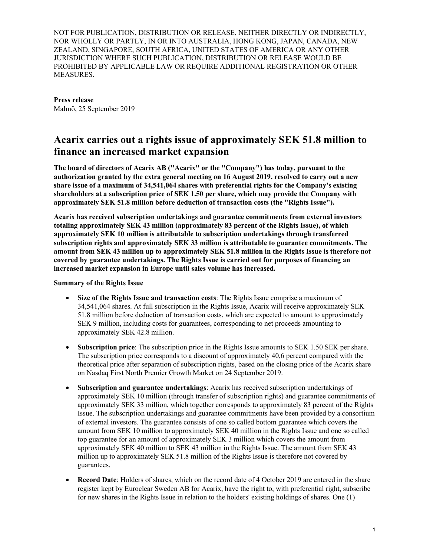# Press release

Malmö, 25 September 2019

# Acarix carries out a rights issue of approximately SEK 51.8 million to finance an increased market expansion

The board of directors of Acarix AB ("Acarix" or the "Company") has today, pursuant to the authorization granted by the extra general meeting on 16 August 2019, resolved to carry out a new share issue of a maximum of 34,541,064 shares with preferential rights for the Company's existing shareholders at a subscription price of SEK 1.50 per share, which may provide the Company with approximately SEK 51.8 million before deduction of transaction costs (the "Rights Issue").

Acarix has received subscription undertakings and guarantee commitments from external investors totaling approximately SEK 43 million (approximately 83 percent of the Rights Issue), of which approximately SEK 10 million is attributable to subscription undertakings through transferred subscription rights and approximately SEK 33 million is attributable to guarantee commitments. The amount from SEK 43 million up to approximately SEK 51.8 million in the Rights Issue is therefore not covered by guarantee undertakings. The Rights Issue is carried out for purposes of financing an increased market expansion in Europe until sales volume has increased.

## Summary of the Rights Issue

- Size of the Rights Issue and transaction costs: The Rights Issue comprise a maximum of 34,541,064 shares. At full subscription in the Rights Issue, Acarix will receive approximately SEK 51.8 million before deduction of transaction costs, which are expected to amount to approximately SEK 9 million, including costs for guarantees, corresponding to net proceeds amounting to approximately SEK 42.8 million.
- Subscription price: The subscription price in the Rights Issue amounts to SEK 1.50 SEK per share. The subscription price corresponds to a discount of approximately 40,6 percent compared with the theoretical price after separation of subscription rights, based on the closing price of the Acarix share on Nasdaq First North Premier Growth Market on 24 September 2019.
- Subscription and guarantee undertakings: Acarix has received subscription undertakings of approximately SEK 10 million (through transfer of subscription rights) and guarantee commitments of approximately SEK 33 million, which together corresponds to approximately 83 percent of the Rights Issue. The subscription undertakings and guarantee commitments have been provided by a consortium of external investors. The guarantee consists of one so called bottom guarantee which covers the amount from SEK 10 million to approximately SEK 40 million in the Rights Issue and one so called top guarantee for an amount of approximately SEK 3 million which covers the amount from approximately SEK 40 million to SEK 43 million in the Rights Issue. The amount from SEK 43 million up to approximately SEK 51.8 million of the Rights Issue is therefore not covered by guarantees.
- Record Date: Holders of shares, which on the record date of 4 October 2019 are entered in the share register kept by Euroclear Sweden AB for Acarix, have the right to, with preferential right, subscribe for new shares in the Rights Issue in relation to the holders' existing holdings of shares. One (1)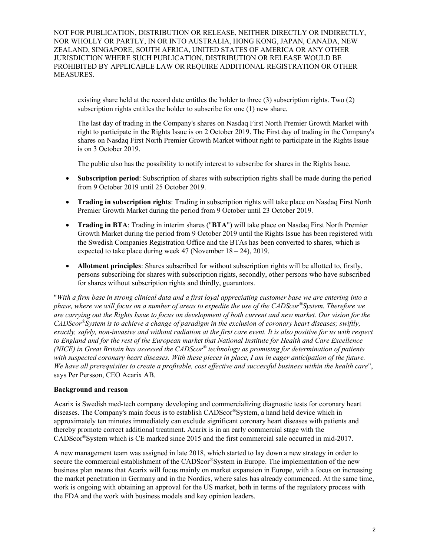existing share held at the record date entitles the holder to three (3) subscription rights. Two (2) subscription rights entitles the holder to subscribe for one (1) new share.

The last day of trading in the Company's shares on Nasdaq First North Premier Growth Market with right to participate in the Rights Issue is on 2 October 2019. The First day of trading in the Company's shares on Nasdaq First North Premier Growth Market without right to participate in the Rights Issue is on 3 October 2019.

The public also has the possibility to notify interest to subscribe for shares in the Rights Issue.

- Subscription period: Subscription of shares with subscription rights shall be made during the period from 9 October 2019 until 25 October 2019.
- Trading in subscription rights: Trading in subscription rights will take place on Nasdaq First North Premier Growth Market during the period from 9 October until 23 October 2019.
- Trading in BTA: Trading in interim shares ("BTA") will take place on Nasdaq First North Premier Growth Market during the period from 9 October 2019 until the Rights Issue has been registered with the Swedish Companies Registration Office and the BTAs has been converted to shares, which is expected to take place during week 47 (November 18 – 24), 2019.
- Allotment principles: Shares subscribed for without subscription rights will be allotted to, firstly, persons subscribing for shares with subscription rights, secondly, other persons who have subscribed for shares without subscription rights and thirdly, guarantors.

"With a firm base in strong clinical data and a first loyal appreciating customer base we are entering into a phase, where we will focus on a number of areas to expedite the use of the CADScor®System. Therefore we are carrying out the Rights Issue to focus on development of both current and new market. Our vision for the  $CADScor<sup>®</sup>System is to achieve a change of paradigm in the exclusion of coronary heart diseases; swifily,$ exactly, safely, non-invasive and without radiation at the first care event. It is also positive for us with respect to England and for the rest of the European market that National Institute for Health and Care Excellence (NICE) in Great Britain has assessed the CADScor® technology as promising for determination of patients with suspected coronary heart diseases. With these pieces in place, I am in eager anticipation of the future. We have all prerequisites to create a profitable, cost effective and successful business within the health care", says Per Persson, CEO Acarix AB.

## Background and reason

Acarix is Swedish med-tech company developing and commercializing diagnostic tests for coronary heart diseases. The Company's main focus is to establish CADScor®System, a hand held device which in approximately ten minutes immediately can exclude significant coronary heart diseases with patients and thereby promote correct additional treatment. Acarix is in an early commercial stage with the CADScor®System which is CE marked since 2015 and the first commercial sale occurred in mid-2017.

A new management team was assigned in late 2018, which started to lay down a new strategy in order to secure the commercial establishment of the CADScor®System in Europe. The implementation of the new business plan means that Acarix will focus mainly on market expansion in Europe, with a focus on increasing the market penetration in Germany and in the Nordics, where sales has already commenced. At the same time, work is ongoing with obtaining an approval for the US market, both in terms of the regulatory process with the FDA and the work with business models and key opinion leaders.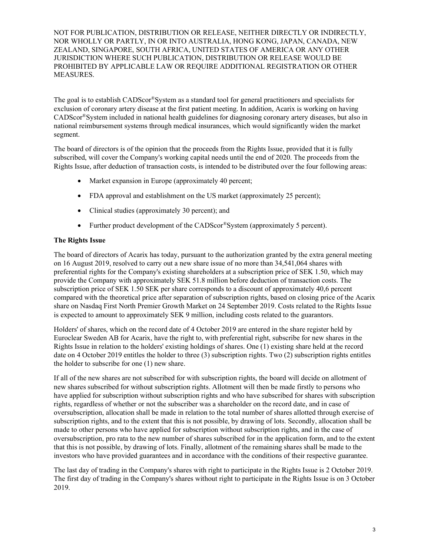The goal is to establish CADScor®System as a standard tool for general practitioners and specialists for exclusion of coronary artery disease at the first patient meeting. In addition, Acarix is working on having CADScor®System included in national health guidelines for diagnosing coronary artery diseases, but also in national reimbursement systems through medical insurances, which would significantly widen the market segment.

The board of directors is of the opinion that the proceeds from the Rights Issue, provided that it is fully subscribed, will cover the Company's working capital needs until the end of 2020. The proceeds from the Rights Issue, after deduction of transaction costs, is intended to be distributed over the four following areas:

- Market expansion in Europe (approximately 40 percent;
- FDA approval and establishment on the US market (approximately 25 percent);
- Clinical studies (approximately 30 percent); and
- Further product development of the CADScor<sup>®</sup>System (approximately 5 percent).

## The Rights Issue

The board of directors of Acarix has today, pursuant to the authorization granted by the extra general meeting on 16 August 2019, resolved to carry out a new share issue of no more than 34,541,064 shares with preferential rights for the Company's existing shareholders at a subscription price of SEK 1.50, which may provide the Company with approximately SEK 51.8 million before deduction of transaction costs. The subscription price of SEK 1.50 SEK per share corresponds to a discount of approximately 40,6 percent compared with the theoretical price after separation of subscription rights, based on closing price of the Acarix share on Nasdaq First North Premier Growth Market on 24 September 2019. Costs related to the Rights Issue is expected to amount to approximately SEK 9 million, including costs related to the guarantors.

Holders' of shares, which on the record date of 4 October 2019 are entered in the share register held by Euroclear Sweden AB for Acarix, have the right to, with preferential right, subscribe for new shares in the Rights Issue in relation to the holders' existing holdings of shares. One (1) existing share held at the record date on 4 October 2019 entitles the holder to three (3) subscription rights. Two (2) subscription rights entitles the holder to subscribe for one (1) new share.

If all of the new shares are not subscribed for with subscription rights, the board will decide on allotment of new shares subscribed for without subscription rights. Allotment will then be made firstly to persons who have applied for subscription without subscription rights and who have subscribed for shares with subscription rights, regardless of whether or not the subscriber was a shareholder on the record date, and in case of oversubscription, allocation shall be made in relation to the total number of shares allotted through exercise of subscription rights, and to the extent that this is not possible, by drawing of lots. Secondly, allocation shall be made to other persons who have applied for subscription without subscription rights, and in the case of oversubscription, pro rata to the new number of shares subscribed for in the application form, and to the extent that this is not possible, by drawing of lots. Finally, allotment of the remaining shares shall be made to the investors who have provided guarantees and in accordance with the conditions of their respective guarantee.

The last day of trading in the Company's shares with right to participate in the Rights Issue is 2 October 2019. The first day of trading in the Company's shares without right to participate in the Rights Issue is on 3 October 2019.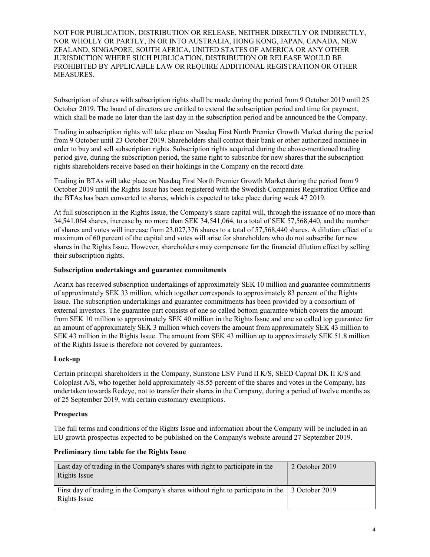Subscription of shares with subscription rights shall be made during the period from 9 October 2019 until 25 October 2019. The board of directors are entitled to extend the subscription period and time for payment, which shall be made no later than the last day in the subscription period and be announced be the Company.

Trading in subscription rights will take place on Nasdaq First North Premier Growth Market during the period from 9 October until 23 October 2019. Shareholders shall contact their bank or other authorized nominee in order to buy and sell subscription rights. Subscription rights acquired during the above-mentioned trading period give, during the subscription period, the same right to subscribe for new shares that the subscription rights shareholders receive based on their holdings in the Company on the record date.

Trading in BTAs will take place on Nasdaq First North Premier Growth Market during the period from 9 October 2019 until the Rights Issue has been registered with the Swedish Companies Registration Office and the BTAs has been converted to shares, which is expected to take place during week 47 2019.

At full subscription in the Rights Issue, the Company's share capital will, through the issuance of no more than 34,541,064 shares, increase by no more than SEK 34,541,064, to a total of SEK 57,568,440, and the number of shares and votes will increase from 23,027,376 shares to a total of 57,568,440 shares. A dilution effect of a maximum of 60 percent of the capital and votes will arise for shareholders who do not subscribe for new shares in the Rights Issue. However, shareholders may compensate for the financial dilution effect by selling their subscription rights.

## Subscription undertakings and guarantee commitments

Acarix has received subscription undertakings of approximately SEK 10 million and guarantee commitments of approximately SEK 33 million, which together corresponds to approximately 83 percent of the Rights Issue. The subscription undertakings and guarantee commitments has been provided by a consortium of external investors. The guarantee part consists of one so called bottom guarantee which covers the amount from SEK 10 million to approximately SEK 40 million in the Rights Issue and one so called top guarantee for an amount of approximately SEK 3 million which covers the amount from approximately SEK 43 million to SEK 43 million in the Rights Issue. The amount from SEK 43 million up to approximately SEK 51.8 million of the Rights Issue is therefore not covered by guarantees.

# Lock-up

Certain principal shareholders in the Company, Sunstone LSV Fund II K/S, SEED Capital DK II K/S and Coloplast A/S, who together hold approximately 48.55 percent of the shares and votes in the Company, has undertaken towards Redeye, not to transfer their shares in the Company, during a period of twelve months as of 25 September 2019, with certain customary exemptions.

# Prospectus

The full terms and conditions of the Rights Issue and information about the Company will be included in an EU growth prospectus expected to be published on the Company's website around 27 September 2019.

## Preliminary time table for the Rights Issue

| Last day of trading in the Company's shares with right to participate in the<br>Rights Issue                    | 2 October 2019 |
|-----------------------------------------------------------------------------------------------------------------|----------------|
| First day of trading in the Company's shares without right to participate in the 3 October 2019<br>Rights Issue |                |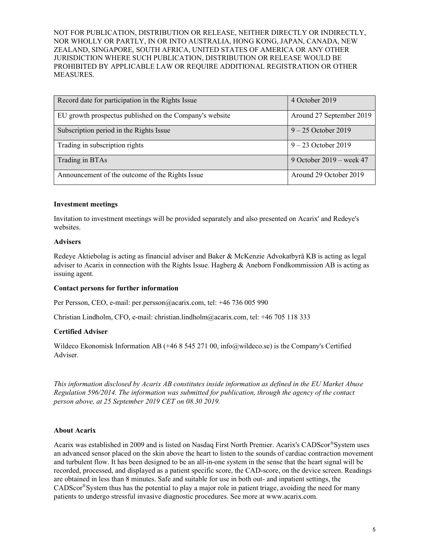| Record date for participation in the Rights Issue       | 4 October 2019           |
|---------------------------------------------------------|--------------------------|
| EU growth prospectus published on the Company's website | Around 27 September 2019 |
| Subscription period in the Rights Issue                 | $9 - 25$ October 2019    |
| Trading in subscription rights                          | $9 - 23$ October 2019    |
| Trading in BTAs                                         | 9 October 2019 – week 47 |
| Announcement of the outcome of the Rights Issue         | Around 29 October 2019   |

## Investment meetings

Invitation to investment meetings will be provided separately and also presented on Acarix' and Redeye's websites.

## **Advisers**

Redeye Aktiebolag is acting as financial adviser and Baker & McKenzie Advokatbyrå KB is acting as legal adviser to Acarix in connection with the Rights Issue. Hagberg & Aneborn Fondkommission AB is acting as issuing agent.

## Contact persons for further information

Per Persson, CEO, e-mail: per.persson@acarix.com, tel: +46 736 005 990

Christian Lindholm, CFO, e-mail: christian.lindholm@acarix.com, tel: +46 705 118 333

## Certified Adviser

Wildeco Ekonomisk Information AB (+46 8 545 271 00, info@wildeco.se) is the Company's Certified Adviser.

This information disclosed by Acarix AB constitutes inside information as defined in the EU Market Abuse Regulation 596/2014. The information was submitted for publication, through the agency of the contact person above, at 25 September 2019 CET on 08.30 2019.

## About Acarix

Acarix was established in 2009 and is listed on Nasdaq First North Premier. Acarix's CADScor®System uses an advanced sensor placed on the skin above the heart to listen to the sounds of cardiac contraction movement and turbulent flow. It has been designed to be an all-in-one system in the sense that the heart signal will be recorded, processed, and displayed as a patient specific score, the CAD-score, on the device screen. Readings are obtained in less than 8 minutes. Safe and suitable for use in both out- and inpatient settings, the CADScor®System thus has the potential to play a major role in patient triage, avoiding the need for many patients to undergo stressful invasive diagnostic procedures. See more at www.acarix.com.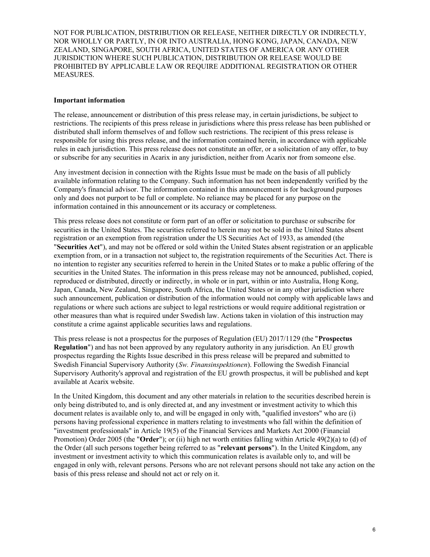#### Important information

The release, announcement or distribution of this press release may, in certain jurisdictions, be subject to restrictions. The recipients of this press release in jurisdictions where this press release has been published or distributed shall inform themselves of and follow such restrictions. The recipient of this press release is responsible for using this press release, and the information contained herein, in accordance with applicable rules in each jurisdiction. This press release does not constitute an offer, or a solicitation of any offer, to buy or subscribe for any securities in Acarix in any jurisdiction, neither from Acarix nor from someone else.

Any investment decision in connection with the Rights Issue must be made on the basis of all publicly available information relating to the Company. Such information has not been independently verified by the Company's financial advisor. The information contained in this announcement is for background purposes only and does not purport to be full or complete. No reliance may be placed for any purpose on the information contained in this announcement or its accuracy or completeness.

This press release does not constitute or form part of an offer or solicitation to purchase or subscribe for securities in the United States. The securities referred to herein may not be sold in the United States absent registration or an exemption from registration under the US Securities Act of 1933, as amended (the "Securities Act"), and may not be offered or sold within the United States absent registration or an applicable exemption from, or in a transaction not subject to, the registration requirements of the Securities Act. There is no intention to register any securities referred to herein in the United States or to make a public offering of the securities in the United States. The information in this press release may not be announced, published, copied, reproduced or distributed, directly or indirectly, in whole or in part, within or into Australia, Hong Kong, Japan, Canada, New Zealand, Singapore, South Africa, the United States or in any other jurisdiction where such announcement, publication or distribution of the information would not comply with applicable laws and regulations or where such actions are subject to legal restrictions or would require additional registration or other measures than what is required under Swedish law. Actions taken in violation of this instruction may constitute a crime against applicable securities laws and regulations.

This press release is not a prospectus for the purposes of Regulation (EU) 2017/1129 (the "Prospectus Regulation") and has not been approved by any regulatory authority in any jurisdiction. An EU growth prospectus regarding the Rights Issue described in this press release will be prepared and submitted to Swedish Financial Supervisory Authority (Sw. Finansinspektionen). Following the Swedish Financial Supervisory Authority's approval and registration of the EU growth prospectus, it will be published and kept available at Acarix website.

In the United Kingdom, this document and any other materials in relation to the securities described herein is only being distributed to, and is only directed at, and any investment or investment activity to which this document relates is available only to, and will be engaged in only with, "qualified investors" who are (i) persons having professional experience in matters relating to investments who fall within the definition of "investment professionals" in Article 19(5) of the Financial Services and Markets Act 2000 (Financial Promotion) Order 2005 (the "Order"); or (ii) high net worth entities falling within Article 49(2)(a) to (d) of the Order (all such persons together being referred to as "relevant persons"). In the United Kingdom, any investment or investment activity to which this communication relates is available only to, and will be engaged in only with, relevant persons. Persons who are not relevant persons should not take any action on the basis of this press release and should not act or rely on it.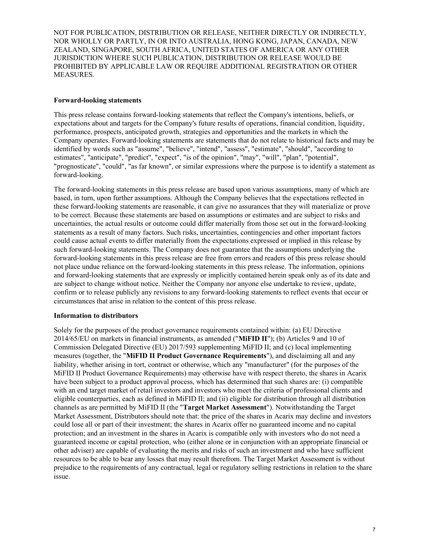## Forward-looking statements

This press release contains forward-looking statements that reflect the Company's intentions, beliefs, or expectations about and targets for the Company's future results of operations, financial condition, liquidity, performance, prospects, anticipated growth, strategies and opportunities and the markets in which the Company operates. Forward-looking statements are statements that do not relate to historical facts and may be identified by words such as "assume", "believe", "intend", "assess", "estimate", "should", "according to estimates", "anticipate", "predict", "expect", "is of the opinion", "may", "will", "plan", "potential", "prognosticate", "could", "as far known", or similar expressions where the purpose is to identify a statement as forward-looking.

The forward-looking statements in this press release are based upon various assumptions, many of which are based, in turn, upon further assumptions. Although the Company believes that the expectations reflected in these forward-looking statements are reasonable, it can give no assurances that they will materialize or prove to be correct. Because these statements are based on assumptions or estimates and are subject to risks and uncertainties, the actual results or outcome could differ materially from those set out in the forward-looking statements as a result of many factors. Such risks, uncertainties, contingencies and other important factors could cause actual events to differ materially from the expectations expressed or implied in this release by such forward-looking statements. The Company does not guarantee that the assumptions underlying the forward-looking statements in this press release are free from errors and readers of this press release should not place undue reliance on the forward-looking statements in this press release. The information, opinions and forward-looking statements that are expressly or implicitly contained herein speak only as of its date and are subject to change without notice. Neither the Company nor anyone else undertake to review, update, confirm or to release publicly any revisions to any forward-looking statements to reflect events that occur or circumstances that arise in relation to the content of this press release.

## Information to distributors

Solely for the purposes of the product governance requirements contained within: (a) EU Directive 2014/65/EU on markets in financial instruments, as amended ("MiFID II"); (b) Articles 9 and 10 of Commission Delegated Directive (EU) 2017/593 supplementing MiFID II; and (c) local implementing measures (together, the "MiFID II Product Governance Requirements"), and disclaiming all and any liability, whether arising in tort, contract or otherwise, which any "manufacturer" (for the purposes of the MiFID II Product Governance Requirements) may otherwise have with respect thereto, the shares in Acarix have been subject to a product approval process, which has determined that such shares are: (i) compatible with an end target market of retail investors and investors who meet the criteria of professional clients and eligible counterparties, each as defined in MiFID II; and (ii) eligible for distribution through all distribution channels as are permitted by MiFID II (the "Target Market Assessment"). Notwithstanding the Target Market Assessment, Distributors should note that: the price of the shares in Acarix may decline and investors could lose all or part of their investment; the shares in Acarix offer no guaranteed income and no capital protection; and an investment in the shares in Acarix is compatible only with investors who do not need a guaranteed income or capital protection, who (either alone or in conjunction with an appropriate financial or other adviser) are capable of evaluating the merits and risks of such an investment and who have sufficient resources to be able to bear any losses that may result therefrom. The Target Market Assessment is without prejudice to the requirements of any contractual, legal or regulatory selling restrictions in relation to the share issue.